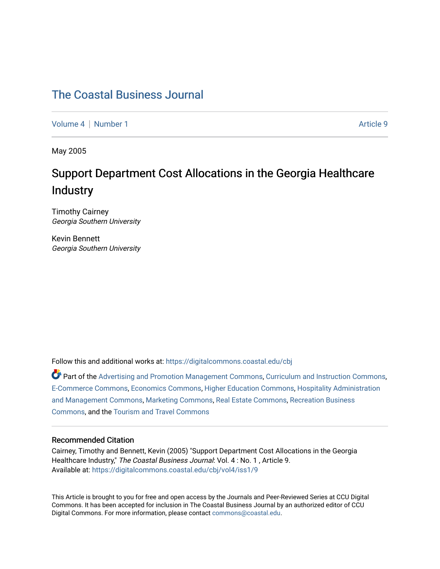# [The Coastal Business Journal](https://digitalcommons.coastal.edu/cbj)

[Volume 4](https://digitalcommons.coastal.edu/cbj/vol4) | [Number 1](https://digitalcommons.coastal.edu/cbj/vol4/iss1) Article 9

May 2005

# Support Department Cost Allocations in the Georgia Healthcare Industry

Timothy Cairney Georgia Southern University

Kevin Bennett Georgia Southern University

Follow this and additional works at: [https://digitalcommons.coastal.edu/cbj](https://digitalcommons.coastal.edu/cbj?utm_source=digitalcommons.coastal.edu%2Fcbj%2Fvol4%2Fiss1%2F9&utm_medium=PDF&utm_campaign=PDFCoverPages) 

Part of the [Advertising and Promotion Management Commons,](http://network.bepress.com/hgg/discipline/626?utm_source=digitalcommons.coastal.edu%2Fcbj%2Fvol4%2Fiss1%2F9&utm_medium=PDF&utm_campaign=PDFCoverPages) [Curriculum and Instruction Commons,](http://network.bepress.com/hgg/discipline/786?utm_source=digitalcommons.coastal.edu%2Fcbj%2Fvol4%2Fiss1%2F9&utm_medium=PDF&utm_campaign=PDFCoverPages) [E-Commerce Commons,](http://network.bepress.com/hgg/discipline/624?utm_source=digitalcommons.coastal.edu%2Fcbj%2Fvol4%2Fiss1%2F9&utm_medium=PDF&utm_campaign=PDFCoverPages) [Economics Commons](http://network.bepress.com/hgg/discipline/340?utm_source=digitalcommons.coastal.edu%2Fcbj%2Fvol4%2Fiss1%2F9&utm_medium=PDF&utm_campaign=PDFCoverPages), [Higher Education Commons](http://network.bepress.com/hgg/discipline/1245?utm_source=digitalcommons.coastal.edu%2Fcbj%2Fvol4%2Fiss1%2F9&utm_medium=PDF&utm_campaign=PDFCoverPages), [Hospitality Administration](http://network.bepress.com/hgg/discipline/632?utm_source=digitalcommons.coastal.edu%2Fcbj%2Fvol4%2Fiss1%2F9&utm_medium=PDF&utm_campaign=PDFCoverPages) [and Management Commons,](http://network.bepress.com/hgg/discipline/632?utm_source=digitalcommons.coastal.edu%2Fcbj%2Fvol4%2Fiss1%2F9&utm_medium=PDF&utm_campaign=PDFCoverPages) [Marketing Commons](http://network.bepress.com/hgg/discipline/638?utm_source=digitalcommons.coastal.edu%2Fcbj%2Fvol4%2Fiss1%2F9&utm_medium=PDF&utm_campaign=PDFCoverPages), [Real Estate Commons](http://network.bepress.com/hgg/discipline/641?utm_source=digitalcommons.coastal.edu%2Fcbj%2Fvol4%2Fiss1%2F9&utm_medium=PDF&utm_campaign=PDFCoverPages), [Recreation Business](http://network.bepress.com/hgg/discipline/1083?utm_source=digitalcommons.coastal.edu%2Fcbj%2Fvol4%2Fiss1%2F9&utm_medium=PDF&utm_campaign=PDFCoverPages) [Commons](http://network.bepress.com/hgg/discipline/1083?utm_source=digitalcommons.coastal.edu%2Fcbj%2Fvol4%2Fiss1%2F9&utm_medium=PDF&utm_campaign=PDFCoverPages), and the [Tourism and Travel Commons](http://network.bepress.com/hgg/discipline/1082?utm_source=digitalcommons.coastal.edu%2Fcbj%2Fvol4%2Fiss1%2F9&utm_medium=PDF&utm_campaign=PDFCoverPages)

#### Recommended Citation

Cairney, Timothy and Bennett, Kevin (2005) "Support Department Cost Allocations in the Georgia Healthcare Industry," The Coastal Business Journal: Vol. 4: No. 1, Article 9. Available at: [https://digitalcommons.coastal.edu/cbj/vol4/iss1/9](https://digitalcommons.coastal.edu/cbj/vol4/iss1/9?utm_source=digitalcommons.coastal.edu%2Fcbj%2Fvol4%2Fiss1%2F9&utm_medium=PDF&utm_campaign=PDFCoverPages)

This Article is brought to you for free and open access by the Journals and Peer-Reviewed Series at CCU Digital Commons. It has been accepted for inclusion in The Coastal Business Journal by an authorized editor of CCU Digital Commons. For more information, please contact [commons@coastal.edu](mailto:commons@coastal.edu).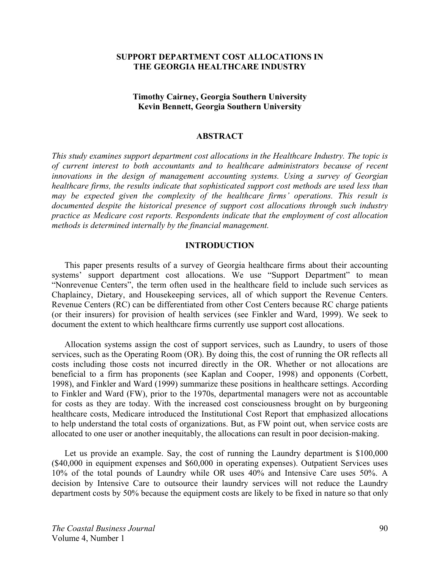## **SUPPORT DEPARTMENT COST ALLOCATIONS IN THE GEORGIA HEALTHCARE INDUSTRY**

# **Timothy Cairney, Georgia Southern University Kevin Bennett, Georgia Southern University**

#### **ABSTRACT**

*This study examines support department cost allocations in the Healthcare Industry. The topic is of current interest to both accountants and to healthcare administrators because of recent innovations in the design of management accounting systems. Using a survey of Georgian healthcare firms, the results indicate that sophisticated support cost methods are used less than may be expected given the complexity of the healthcare firms' operations. This result is documented despite the historical presence of support cost allocations through such industry practice as Medicare cost reports. Respondents indicate that the employment of cost allocation methods is determined internally by the financial management.* 

#### **INTRODUCTION**

 This paper presents results of a survey of Georgia healthcare firms about their accounting systems' support department cost allocations. We use "Support Department" to mean "Nonrevenue Centers", the term often used in the healthcare field to include such services as Chaplaincy, Dietary, and Housekeeping services, all of which support the Revenue Centers. Revenue Centers (RC) can be differentiated from other Cost Centers because RC charge patients (or their insurers) for provision of health services (see Finkler and Ward, 1999). We seek to document the extent to which healthcare firms currently use support cost allocations.

 Allocation systems assign the cost of support services, such as Laundry, to users of those services, such as the Operating Room (OR). By doing this, the cost of running the OR reflects all costs including those costs not incurred directly in the OR. Whether or not allocations are beneficial to a firm has proponents (see Kaplan and Cooper, 1998) and opponents (Corbett, 1998), and Finkler and Ward (1999) summarize these positions in healthcare settings. According to Finkler and Ward (FW), prior to the 1970s, departmental managers were not as accountable for costs as they are today. With the increased cost consciousness brought on by burgeoning healthcare costs, Medicare introduced the Institutional Cost Report that emphasized allocations to help understand the total costs of organizations. But, as FW point out, when service costs are allocated to one user or another inequitably, the allocations can result in poor decision-making.

 Let us provide an example. Say, the cost of running the Laundry department is \$100,000 (\$40,000 in equipment expenses and \$60,000 in operating expenses). Outpatient Services uses 10% of the total pounds of Laundry while OR uses 40% and Intensive Care uses 50%. A decision by Intensive Care to outsource their laundry services will not reduce the Laundry department costs by 50% because the equipment costs are likely to be fixed in nature so that only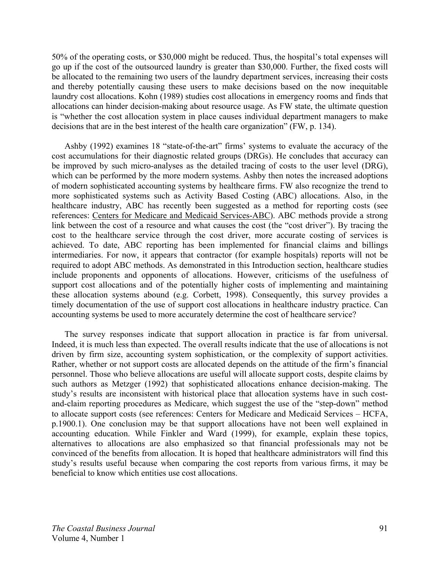50% of the operating costs, or \$30,000 might be reduced. Thus, the hospital's total expenses will go up if the cost of the outsourced laundry is greater than \$30,000. Further, the fixed costs will be allocated to the remaining two users of the laundry department services, increasing their costs and thereby potentially causing these users to make decisions based on the now inequitable laundry cost allocations. Kohn (1989) studies cost allocations in emergency rooms and finds that allocations can hinder decision-making about resource usage. As FW state, the ultimate question is "whether the cost allocation system in place causes individual department managers to make decisions that are in the best interest of the health care organization" (FW, p. 134).

 Ashby (1992) examines 18 "state-of-the-art" firms' systems to evaluate the accuracy of the cost accumulations for their diagnostic related groups (DRGs). He concludes that accuracy can be improved by such micro-analyses as the detailed tracing of costs to the user level (DRG), which can be performed by the more modern systems. Ashby then notes the increased adoptions of modern sophisticated accounting systems by healthcare firms. FW also recognize the trend to more sophisticated systems such as Activity Based Costing (ABC) allocations. Also, in the healthcare industry, ABC has recently been suggested as a method for reporting costs (see references: Centers for Medicare and Medicaid Services-ABC). ABC methods provide a strong link between the cost of a resource and what causes the cost (the "cost driver"). By tracing the cost to the healthcare service through the cost driver, more accurate costing of services is achieved. To date, ABC reporting has been implemented for financial claims and billings intermediaries. For now, it appears that contractor (for example hospitals) reports will not be required to adopt ABC methods. As demonstrated in this Introduction section, healthcare studies include proponents and opponents of allocations. However, criticisms of the usefulness of support cost allocations and of the potentially higher costs of implementing and maintaining these allocation systems abound (e.g. Corbett, 1998). Consequently, this survey provides a timely documentation of the use of support cost allocations in healthcare industry practice. Can accounting systems be used to more accurately determine the cost of healthcare service?

 The survey responses indicate that support allocation in practice is far from universal. Indeed, it is much less than expected. The overall results indicate that the use of allocations is not driven by firm size, accounting system sophistication, or the complexity of support activities. Rather, whether or not support costs are allocated depends on the attitude of the firm's financial personnel. Those who believe allocations are useful will allocate support costs, despite claims by such authors as Metzger (1992) that sophisticated allocations enhance decision-making. The study's results are inconsistent with historical place that allocation systems have in such costand-claim reporting procedures as Medicare, which suggest the use of the "step-down" method to allocate support costs (see references: Centers for Medicare and Medicaid Services – HCFA, p.1900.1). One conclusion may be that support allocations have not been well explained in accounting education. While Finkler and Ward (1999), for example, explain these topics, alternatives to allocations are also emphasized so that financial professionals may not be convinced of the benefits from allocation. It is hoped that healthcare administrators will find this study's results useful because when comparing the cost reports from various firms, it may be beneficial to know which entities use cost allocations.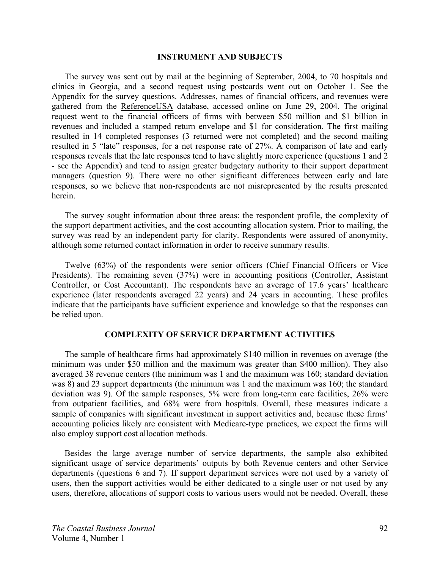# **INSTRUMENT AND SUBJECTS**

 The survey was sent out by mail at the beginning of September, 2004, to 70 hospitals and clinics in Georgia, and a second request using postcards went out on October 1. See the Appendix for the survey questions. Addresses, names of financial officers, and revenues were gathered from the ReferenceUSA database, accessed online on June 29, 2004. The original request went to the financial officers of firms with between \$50 million and \$1 billion in revenues and included a stamped return envelope and \$1 for consideration. The first mailing resulted in 14 completed responses (3 returned were not completed) and the second mailing resulted in 5 "late" responses, for a net response rate of 27%. A comparison of late and early responses reveals that the late responses tend to have slightly more experience (questions 1 and 2 - see the Appendix) and tend to assign greater budgetary authority to their support department managers (question 9). There were no other significant differences between early and late responses, so we believe that non-respondents are not misrepresented by the results presented herein.

 The survey sought information about three areas: the respondent profile, the complexity of the support department activities, and the cost accounting allocation system. Prior to mailing, the survey was read by an independent party for clarity. Respondents were assured of anonymity, although some returned contact information in order to receive summary results.

 Twelve (63%) of the respondents were senior officers (Chief Financial Officers or Vice Presidents). The remaining seven (37%) were in accounting positions (Controller, Assistant Controller, or Cost Accountant). The respondents have an average of 17.6 years' healthcare experience (later respondents averaged 22 years) and 24 years in accounting. These profiles indicate that the participants have sufficient experience and knowledge so that the responses can be relied upon.

#### **COMPLEXITY OF SERVICE DEPARTMENT ACTIVITIES**

 The sample of healthcare firms had approximately \$140 million in revenues on average (the minimum was under \$50 million and the maximum was greater than \$400 million). They also averaged 38 revenue centers (the minimum was 1 and the maximum was 160; standard deviation was 8) and 23 support departments (the minimum was 1 and the maximum was 160; the standard deviation was 9). Of the sample responses, 5% were from long-term care facilities, 26% were from outpatient facilities, and 68% were from hospitals. Overall, these measures indicate a sample of companies with significant investment in support activities and, because these firms' accounting policies likely are consistent with Medicare-type practices, we expect the firms will also employ support cost allocation methods.

 Besides the large average number of service departments, the sample also exhibited significant usage of service departments' outputs by both Revenue centers and other Service departments (questions 6 and 7). If support department services were not used by a variety of users, then the support activities would be either dedicated to a single user or not used by any users, therefore, allocations of support costs to various users would not be needed. Overall, these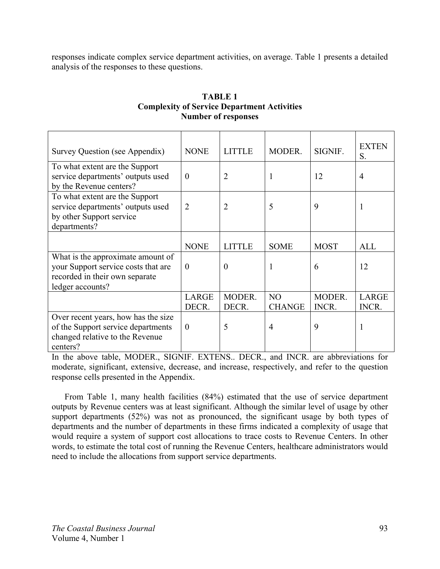responses indicate complex service department activities, on average. Table 1 presents a detailed analysis of the responses to these questions.

# **TABLE 1 Complexity of Service Department Activities Number of responses**

| Survey Question (see Appendix)                                                                                                 | <b>NONE</b>           | <b>LITTLE</b>   | MODER.                          | SIGNIF.         | <b>EXTEN</b><br>S. |
|--------------------------------------------------------------------------------------------------------------------------------|-----------------------|-----------------|---------------------------------|-----------------|--------------------|
| To what extent are the Support<br>service departments' outputs used<br>by the Revenue centers?                                 | $\overline{0}$        | 2               | 1                               | 12              | 4                  |
| To what extent are the Support<br>service departments' outputs used<br>by other Support service<br>departments?                | $\overline{2}$        | 2               | 5                               | 9               | 1                  |
|                                                                                                                                | <b>NONE</b>           | <b>LITTLE</b>   | <b>SOME</b>                     | <b>MOST</b>     | <b>ALL</b>         |
| What is the approximate amount of<br>your Support service costs that are<br>recorded in their own separate<br>ledger accounts? | $\theta$              | $\theta$        | 1                               | 6               | 12                 |
|                                                                                                                                | <b>LARGE</b><br>DECR. | MODER.<br>DECR. | N <sub>O</sub><br><b>CHANGE</b> | MODER.<br>INCR. | LARGE<br>INCR.     |
| Over recent years, how has the size<br>of the Support service departments<br>changed relative to the Revenue<br>centers?       | $\theta$              | 5               | $\overline{4}$                  | 9               | 1                  |

In the above table, MODER., SIGNIF. EXTENS.. DECR., and INCR. are abbreviations for moderate, significant, extensive, decrease, and increase, respectively, and refer to the question response cells presented in the Appendix.

 From Table 1, many health facilities (84%) estimated that the use of service department outputs by Revenue centers was at least significant. Although the similar level of usage by other support departments (52%) was not as pronounced, the significant usage by both types of departments and the number of departments in these firms indicated a complexity of usage that would require a system of support cost allocations to trace costs to Revenue Centers. In other words, to estimate the total cost of running the Revenue Centers, healthcare administrators would need to include the allocations from support service departments.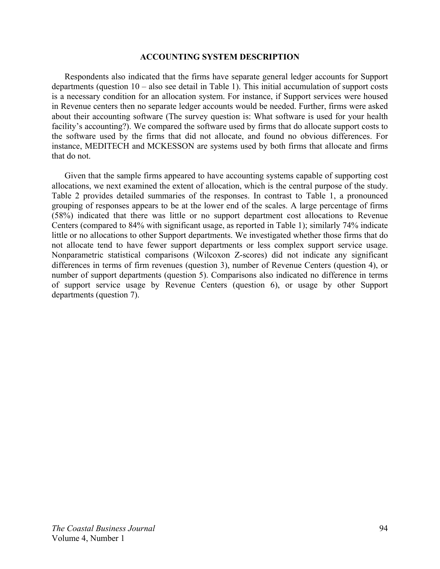#### **ACCOUNTING SYSTEM DESCRIPTION**

 Respondents also indicated that the firms have separate general ledger accounts for Support departments (question 10 – also see detail in Table 1). This initial accumulation of support costs is a necessary condition for an allocation system. For instance, if Support services were housed in Revenue centers then no separate ledger accounts would be needed. Further, firms were asked about their accounting software (The survey question is: What software is used for your health facility's accounting?). We compared the software used by firms that do allocate support costs to the software used by the firms that did not allocate, and found no obvious differences. For instance, MEDITECH and MCKESSON are systems used by both firms that allocate and firms that do not.

 Given that the sample firms appeared to have accounting systems capable of supporting cost allocations, we next examined the extent of allocation, which is the central purpose of the study. Table 2 provides detailed summaries of the responses. In contrast to Table 1, a pronounced grouping of responses appears to be at the lower end of the scales. A large percentage of firms (58%) indicated that there was little or no support department cost allocations to Revenue Centers (compared to 84% with significant usage, as reported in Table 1); similarly 74% indicate little or no allocations to other Support departments. We investigated whether those firms that do not allocate tend to have fewer support departments or less complex support service usage. Nonparametric statistical comparisons (Wilcoxon Z-scores) did not indicate any significant differences in terms of firm revenues (question 3), number of Revenue Centers (question 4), or number of support departments (question 5). Comparisons also indicated no difference in terms of support service usage by Revenue Centers (question 6), or usage by other Support departments (question 7).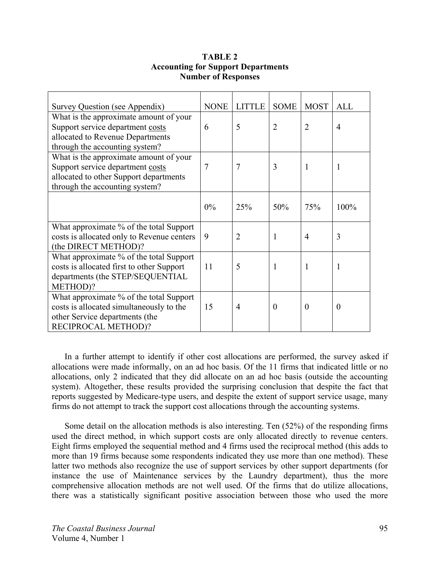| <b>TABLE 2</b>                            |
|-------------------------------------------|
| <b>Accounting for Support Departments</b> |
| <b>Number of Responses</b>                |

| Survey Question (see Appendix)                                                                                                                         | <b>NONE</b> | <b>LITTLE</b>  | <b>SOME</b>    | <b>MOST</b>    | <b>ALL</b>     |
|--------------------------------------------------------------------------------------------------------------------------------------------------------|-------------|----------------|----------------|----------------|----------------|
| What is the approximate amount of your<br>Support service department costs<br>allocated to Revenue Departments<br>through the accounting system?       | 6           | 5              | $\overline{2}$ | $\overline{2}$ | $\overline{4}$ |
| What is the approximate amount of your<br>Support service department costs<br>allocated to other Support departments<br>through the accounting system? | 7           | $\overline{7}$ | 3              |                | 1              |
|                                                                                                                                                        | $0\%$       | 25%            | 50%            | 75%            | 100%           |
| What approximate % of the total Support<br>costs is allocated only to Revenue centers<br>(the DIRECT METHOD)?                                          | 9           | $\overline{2}$ | 1              | $\overline{4}$ | 3              |
| What approximate % of the total Support<br>costs is allocated first to other Support<br>departments (the STEP/SEQUENTIAL<br>METHOD)?                   | 11          | 5              | 1              | 1              | 1              |
| What approximate % of the total Support<br>costs is allocated simultaneously to the<br>other Service departments (the<br>RECIPROCAL METHOD)?           | 15          | $\overline{4}$ | $\theta$       | $\theta$       | $\theta$       |

 In a further attempt to identify if other cost allocations are performed, the survey asked if allocations were made informally, on an ad hoc basis. Of the 11 firms that indicated little or no allocations, only 2 indicated that they did allocate on an ad hoc basis (outside the accounting system). Altogether, these results provided the surprising conclusion that despite the fact that reports suggested by Medicare-type users, and despite the extent of support service usage, many firms do not attempt to track the support cost allocations through the accounting systems.

 Some detail on the allocation methods is also interesting. Ten (52%) of the responding firms used the direct method, in which support costs are only allocated directly to revenue centers. Eight firms employed the sequential method and 4 firms used the reciprocal method (this adds to more than 19 firms because some respondents indicated they use more than one method). These latter two methods also recognize the use of support services by other support departments (for instance the use of Maintenance services by the Laundry department), thus the more comprehensive allocation methods are not well used. Of the firms that do utilize allocations, there was a statistically significant positive association between those who used the more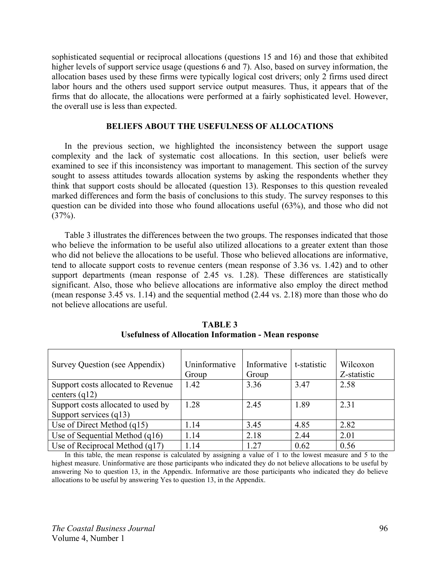sophisticated sequential or reciprocal allocations (questions 15 and 16) and those that exhibited higher levels of support service usage (questions 6 and 7). Also, based on survey information, the allocation bases used by these firms were typically logical cost drivers; only 2 firms used direct labor hours and the others used support service output measures. Thus, it appears that of the firms that do allocate, the allocations were performed at a fairly sophisticated level. However, the overall use is less than expected.

## **BELIEFS ABOUT THE USEFULNESS OF ALLOCATIONS**

 In the previous section, we highlighted the inconsistency between the support usage complexity and the lack of systematic cost allocations. In this section, user beliefs were examined to see if this inconsistency was important to management. This section of the survey sought to assess attitudes towards allocation systems by asking the respondents whether they think that support costs should be allocated (question 13). Responses to this question revealed marked differences and form the basis of conclusions to this study. The survey responses to this question can be divided into those who found allocations useful (63%), and those who did not  $(37\%)$ .

 Table 3 illustrates the differences between the two groups. The responses indicated that those who believe the information to be useful also utilized allocations to a greater extent than those who did not believe the allocations to be useful. Those who believed allocations are informative, tend to allocate support costs to revenue centers (mean response of 3.36 vs. 1.42) and to other support departments (mean response of 2.45 vs. 1.28). These differences are statistically significant. Also, those who believe allocations are informative also employ the direct method (mean response 3.45 vs. 1.14) and the sequential method (2.44 vs. 2.18) more than those who do not believe allocations are useful.

| Survey Question (see Appendix)                               | Uninformative<br>Group | Informative<br>Group | t-statistic | Wilcoxon<br>Z-statistic |
|--------------------------------------------------------------|------------------------|----------------------|-------------|-------------------------|
| Support costs allocated to Revenue<br>centers $(q12)$        | 1.42                   | 3.36                 | 3.47        | 2.58                    |
| Support costs allocated to used by<br>Support services (q13) | 1.28                   | 2.45                 | 1.89        | 2.31                    |
| Use of Direct Method (q15)                                   | 1.14                   | 3.45                 | 4.85        | 2.82                    |
| Use of Sequential Method $(q16)$                             | 1.14                   | 2.18                 | 2.44        | 2.01                    |
| Use of Reciprocal Method (q17)                               | 1.14                   | 1 27                 | 0.62        | 0.56                    |

**TABLE 3 Usefulness of Allocation Information - Mean response** 

In this table, the mean response is calculated by assigning a value of 1 to the lowest measure and 5 to the highest measure. Uninformative are those participants who indicated they do not believe allocations to be useful by answering No to question 13, in the Appendix. Informative are those participants who indicated they do believe allocations to be useful by answering Yes to question 13, in the Appendix.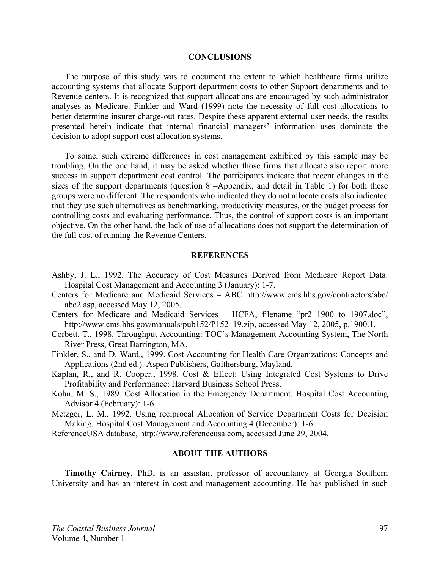#### **CONCLUSIONS**

 The purpose of this study was to document the extent to which healthcare firms utilize accounting systems that allocate Support department costs to other Support departments and to Revenue centers. It is recognized that support allocations are encouraged by such administrator analyses as Medicare. Finkler and Ward (1999) note the necessity of full cost allocations to better determine insurer charge-out rates. Despite these apparent external user needs, the results presented herein indicate that internal financial managers' information uses dominate the decision to adopt support cost allocation systems.

 To some, such extreme differences in cost management exhibited by this sample may be troubling. On the one hand, it may be asked whether those firms that allocate also report more success in support department cost control. The participants indicate that recent changes in the sizes of the support departments (question 8 –Appendix, and detail in Table 1) for both these groups were no different. The respondents who indicated they do not allocate costs also indicated that they use such alternatives as benchmarking, productivity measures, or the budget process for controlling costs and evaluating performance. Thus, the control of support costs is an important objective. On the other hand, the lack of use of allocations does not support the determination of the full cost of running the Revenue Centers.

#### **REFERENCES**

- Ashby, J. L., 1992. The Accuracy of Cost Measures Derived from Medicare Report Data. Hospital Cost Management and Accounting 3 (January): 1-7.
- Centers for Medicare and Medicaid Services ABC http://www.cms.hhs.gov/contractors/abc/ abc2.asp, accessed May 12, 2005.
- Centers for Medicare and Medicaid Services HCFA, filename "pr2 1900 to 1907.doc", http://www.cms.hhs.gov/manuals/pub152/P152\_19.zip, accessed May 12, 2005, p.1900.1.
- Corbett, T., 1998. Throughput Accounting: TOC's Management Accounting System, The North River Press, Great Barrington, MA.
- Finkler, S., and D. Ward., 1999. Cost Accounting for Health Care Organizations: Concepts and Applications (2nd ed.). Aspen Publishers, Gaithersburg, Mayland.
- Kaplan, R., and R. Cooper., 1998. Cost & Effect: Using Integrated Cost Systems to Drive Profitability and Performance: Harvard Business School Press.
- Kohn, M. S., 1989. Cost Allocation in the Emergency Department. Hospital Cost Accounting Advisor 4 (February): 1-6.
- Metzger, L. M., 1992. Using reciprocal Allocation of Service Department Costs for Decision Making. Hospital Cost Management and Accounting 4 (December): 1-6.
- ReferenceUSA database, http://www.referenceusa.com, accessed June 29, 2004.

#### **ABOUT THE AUTHORS**

 **Timothy Cairney**, PhD, is an assistant professor of accountancy at Georgia Southern University and has an interest in cost and management accounting. He has published in such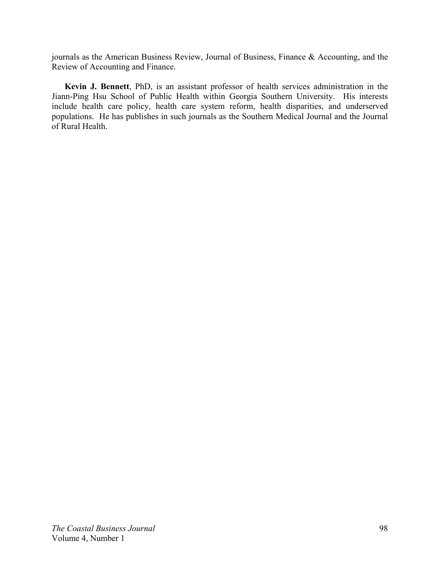journals as the American Business Review, Journal of Business, Finance & Accounting, and the Review of Accounting and Finance.

 **Kevin J. Bennett**, PhD, is an assistant professor of health services administration in the Jiann-Ping Hsu School of Public Health within Georgia Southern University. His interests include health care policy, health care system reform, health disparities, and underserved populations. He has publishes in such journals as the Southern Medical Journal and the Journal of Rural Health.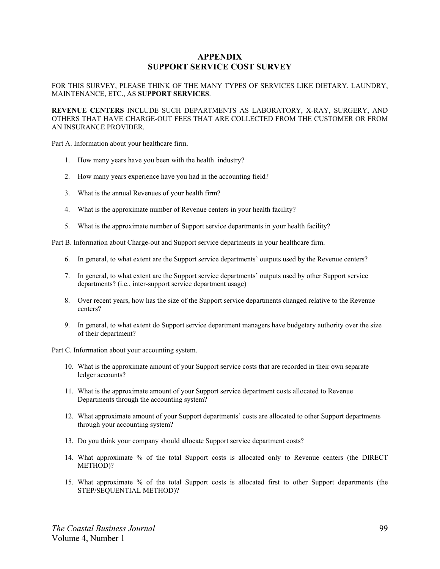# **APPENDIX SUPPORT SERVICE COST SURVEY**

FOR THIS SURVEY, PLEASE THINK OF THE MANY TYPES OF SERVICES LIKE DIETARY, LAUNDRY, MAINTENANCE, ETC., AS **SUPPORT SERVICES**.

**REVENUE CENTERS** INCLUDE SUCH DEPARTMENTS AS LABORATORY, X-RAY, SURGERY, AND OTHERS THAT HAVE CHARGE-OUT FEES THAT ARE COLLECTED FROM THE CUSTOMER OR FROM AN INSURANCE PROVIDER.

Part A. Information about your healthcare firm.

- 1. How many years have you been with the health industry?
- 2. How many years experience have you had in the accounting field?
- 3. What is the annual Revenues of your health firm?
- 4. What is the approximate number of Revenue centers in your health facility?
- 5. What is the approximate number of Support service departments in your health facility?

Part B. Information about Charge-out and Support service departments in your healthcare firm.

- 6. In general, to what extent are the Support service departments' outputs used by the Revenue centers?
- 7. In general, to what extent are the Support service departments' outputs used by other Support service departments? (i.e., inter-support service department usage)
- 8. Over recent years, how has the size of the Support service departments changed relative to the Revenue centers?
- 9. In general, to what extent do Support service department managers have budgetary authority over the size of their department?

Part C. Information about your accounting system.

- 10. What is the approximate amount of your Support service costs that are recorded in their own separate ledger accounts?
- 11. What is the approximate amount of your Support service department costs allocated to Revenue Departments through the accounting system?
- 12. What approximate amount of your Support departments' costs are allocated to other Support departments through your accounting system?
- 13. Do you think your company should allocate Support service department costs?
- 14. What approximate % of the total Support costs is allocated only to Revenue centers (the DIRECT METHOD)?
- 15. What approximate % of the total Support costs is allocated first to other Support departments (the STEP/SEQUENTIAL METHOD)?